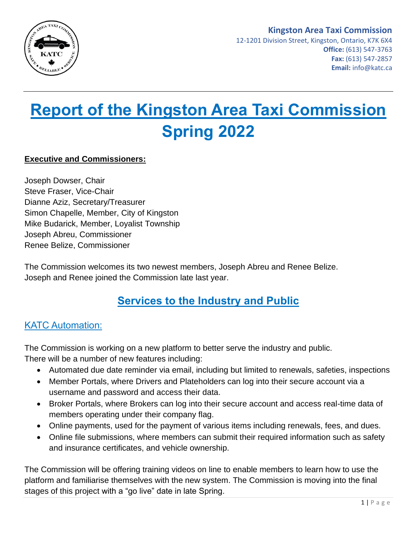

### **Kingston Area Taxi Commission**

12-1201 Division Street, Kingston, Ontario, K7K 6X4 **Office:** (613) 547-3763 **Fax:** (613) 547-2857 **Email:** info@katc.ca

# **Report of the Kingston Area Taxi Commission Spring 2022**

#### **Executive and Commissioners:**

Joseph Dowser, Chair Steve Fraser, Vice-Chair Dianne Aziz, Secretary/Treasurer Simon Chapelle, Member, City of Kingston Mike Budarick, Member, Loyalist Township Joseph Abreu, Commissioner Renee Belize, Commissioner

The Commission welcomes its two newest members, Joseph Abreu and Renee Belize. Joseph and Renee joined the Commission late last year.

### **Services to the Industry and Public**

#### KATC Automation:

The Commission is working on a new platform to better serve the industry and public. There will be a number of new features including:

- Automated due date reminder via email, including but limited to renewals, safeties, inspections
- Member Portals, where Drivers and Plateholders can log into their secure account via a username and password and access their data.
- Broker Portals, where Brokers can log into their secure account and access real-time data of members operating under their company flag.
- Online payments, used for the payment of various items including renewals, fees, and dues.
- Online file submissions, where members can submit their required information such as safety and insurance certificates, and vehicle ownership.

The Commission will be offering training videos on line to enable members to learn how to use the platform and familiarise themselves with the new system. The Commission is moving into the final stages of this project with a "go live" date in late Spring.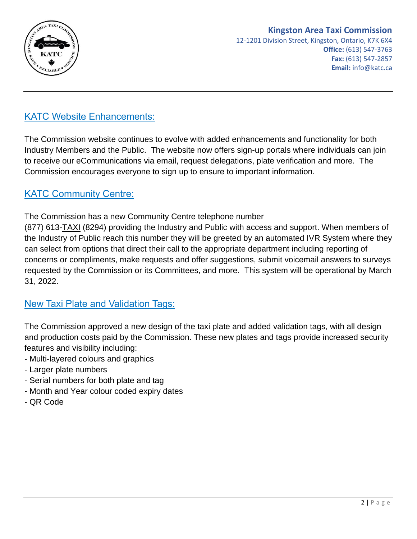

#### KATC Website Enhancements:

The Commission website continues to evolve with added enhancements and functionality for both Industry Members and the Public. The website now offers sign-up portals where individuals can join to receive our eCommunications via email, request delegations, plate verification and more. The Commission encourages everyone to sign up to ensure to important information.

#### KATC Community Centre:

The Commission has a new Community Centre telephone number

(877) 613-TAXI (8294) providing the Industry and Public with access and support. When members of the Industry of Public reach this number they will be greeted by an automated IVR System where they can select from options that direct their call to the appropriate department including reporting of concerns or compliments, make requests and offer suggestions, submit voicemail answers to surveys requested by the Commission or its Committees, and more. This system will be operational by March 31, 2022.

#### New Taxi Plate and Validation Tags:

The Commission approved a new design of the taxi plate and added validation tags, with all design and production costs paid by the Commission. These new plates and tags provide increased security features and visibility including:

- Multi-layered colours and graphics
- Larger plate numbers
- Serial numbers for both plate and tag
- Month and Year colour coded expiry dates
- QR Code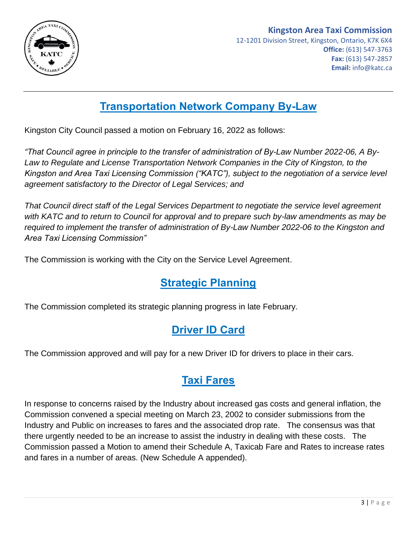

#### **Kingston Area Taxi Commission** 12-1201 Division Street, Kingston, Ontario, K7K 6X4 **Office:** (613) 547-3763 **Fax:** (613) 547-2857 **Email:** info@katc.ca

# **Transportation Network Company By-Law**

Kingston City Council passed a motion on February 16, 2022 as follows:

*"That Council agree in principle to the transfer of administration of By-Law Number 2022-06, A By-Law to Regulate and License Transportation Network Companies in the City of Kingston, to the Kingston and Area Taxi Licensing Commission ("KATC"), subject to the negotiation of a service level agreement satisfactory to the Director of Legal Services; and*

*That Council direct staff of the Legal Services Department to negotiate the service level agreement with KATC and to return to Council for approval and to prepare such by-law amendments as may be required to implement the transfer of administration of By-Law Number 2022-06 to the Kingston and Area Taxi Licensing Commission"*

The Commission is working with the City on the Service Level Agreement.

# **Strategic Planning**

The Commission completed its strategic planning progress in late February.

# **Driver ID Card**

The Commission approved and will pay for a new Driver ID for drivers to place in their cars.

### **Taxi Fares**

In response to concerns raised by the Industry about increased gas costs and general inflation, the Commission convened a special meeting on March 23, 2002 to consider submissions from the Industry and Public on increases to fares and the associated drop rate. The consensus was that there urgently needed to be an increase to assist the industry in dealing with these costs. The Commission passed a Motion to amend their Schedule A, Taxicab Fare and Rates to increase rates and fares in a number of areas. (New Schedule A appended).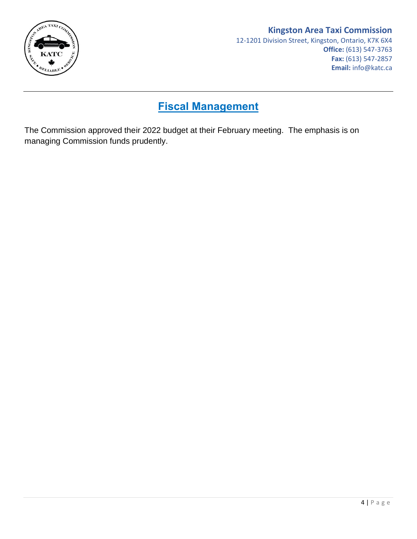

#### **Kingston Area Taxi Commission**

## **Fiscal Management**

The Commission approved their 2022 budget at their February meeting. The emphasis is on managing Commission funds prudently.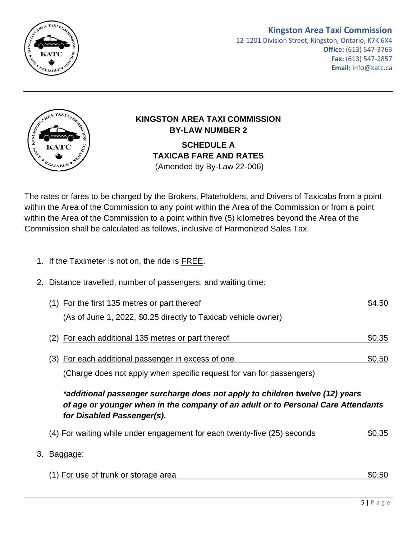

#### **Kingston Area Taxi Commission**

12-1201 Division Street, Kingston, Ontario, K7K 6X4 **Office:** (613) 547-3763 **Fax:** (613) 547-2857 **Email:** info@katc.ca



# **KINGSTON AREA TAXI COMMISSION BY-LAW NUMBER 2**

**SCHEDULE A TAXICAB FARE AND RATES** (Amended by By-Law 22-006)

The rates or fares to be charged by the Brokers, Plateholders, and Drivers of Taxicabs from a point within the Area of the Commission to any point within the Area of the Commission or from a point within the Area of the Commission to a point within five (5) kilometres beyond the Area of the Commission shall be calculated as follows, inclusive of Harmonized Sales Tax.

- 1. If the Taximeter is not on, the ride is FREE.
- 2. Distance travelled, number of passengers, and waiting time:

| (1) For the first 135 metres or part thereof                                                                                                                                                   | \$4.50 |
|------------------------------------------------------------------------------------------------------------------------------------------------------------------------------------------------|--------|
| (As of June 1, 2022, \$0.25 directly to Taxicab vehicle owner)                                                                                                                                 |        |
| (2) For each additional 135 metres or part thereof                                                                                                                                             | \$0.35 |
| (3) For each additional passenger in excess of one                                                                                                                                             | \$0.50 |
| (Charge does not apply when specific request for van for passengers)                                                                                                                           |        |
| *additional passenger surcharge does not apply to children twelve (12) years<br>of age or younger when in the company of an adult or to Personal Care Attendants<br>for Disabled Passenger(s). |        |
| (4) For waiting while under engagement for each twenty-five (25) seconds                                                                                                                       | \$0.35 |
| 3. Baggage:                                                                                                                                                                                    |        |
| (1) For use of trunk or storage area                                                                                                                                                           | \$0.50 |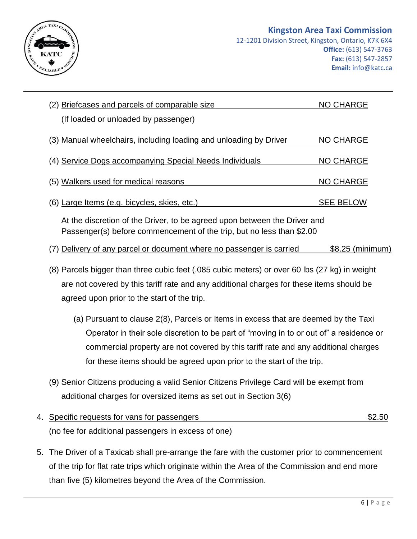

| (2) Briefcases and parcels of comparable size                                                                                                      | <b>NO CHARGE</b> |  |
|----------------------------------------------------------------------------------------------------------------------------------------------------|------------------|--|
| (If loaded or unloaded by passenger)                                                                                                               |                  |  |
| (3) Manual wheelchairs, including loading and unloading by Driver                                                                                  | <b>NO CHARGE</b> |  |
| (4) Service Dogs accompanying Special Needs Individuals                                                                                            | <b>NO CHARGE</b> |  |
| (5) Walkers used for medical reasons                                                                                                               | <b>NO CHARGE</b> |  |
| (6) Large Items (e.g. bicycles, skies, etc.)                                                                                                       | <b>SEE BELOW</b> |  |
| At the discretion of the Driver, to be agreed upon between the Driver and<br>Passenger(s) before commencement of the trip, but no less than \$2.00 |                  |  |
|                                                                                                                                                    |                  |  |
| (7) Delivery of any parcel or document where no passenger is carried                                                                               | \$8.25 (minimum) |  |
| (8) Parcels bigger than three cubic feet (.085 cubic meters) or over 60 lbs (27 kg) in weight                                                      |                  |  |
| are not covered by this tariff rate and any additional charges for these items should be                                                           |                  |  |
| agreed upon prior to the start of the trip.                                                                                                        |                  |  |
| (a) Pursuant to clause 2(8), Parcels or Items in excess that are deemed by the Taxi                                                                |                  |  |
| Operator in their sole discretion to be part of "moving in to or out of" a residence or                                                            |                  |  |
| commercial property are not covered by this tariff rate and any additional charges                                                                 |                  |  |
| for these items should be agreed upon prior to the start of the trip.                                                                              |                  |  |

- additional charges for oversized items as set out in Section 3(6)
- 4. Specific requests for vans for passengers  $$2.50$ (no fee for additional passengers in excess of one)
- 5. The Driver of a Taxicab shall pre-arrange the fare with the customer prior to commencement of the trip for flat rate trips which originate within the Area of the Commission and end more than five (5) kilometres beyond the Area of the Commission.